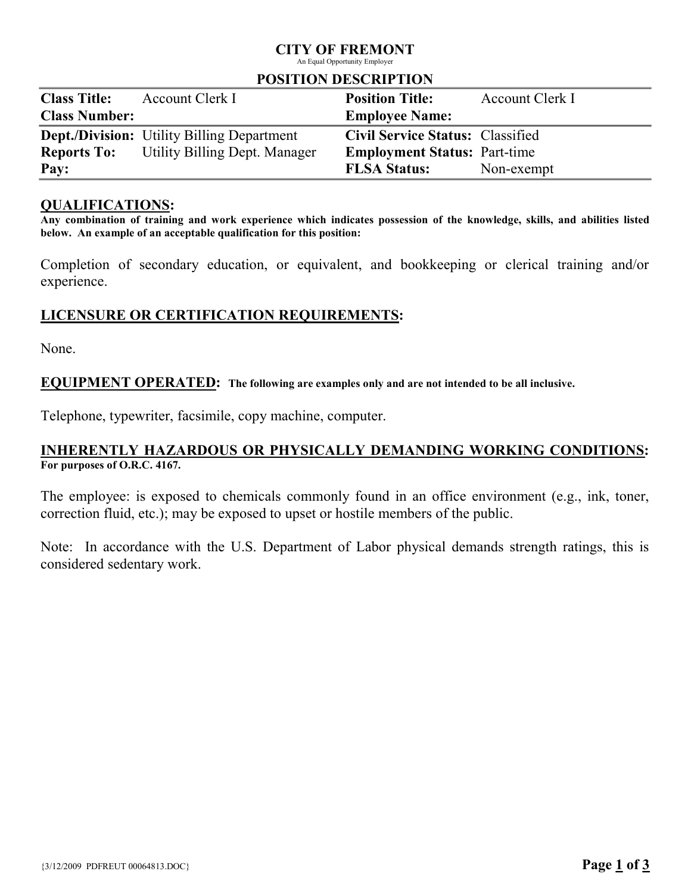# CITY OF FREMONT

An Equal Opportunity Employer

### POSITION DESCRIPTION

| <b>Class Title:</b>  | Account Clerk I                                   | <b>Position Title:</b>                  | Account Clerk I |
|----------------------|---------------------------------------------------|-----------------------------------------|-----------------|
| <b>Class Number:</b> |                                                   | <b>Employee Name:</b>                   |                 |
|                      | <b>Dept./Division:</b> Utility Billing Department | <b>Civil Service Status: Classified</b> |                 |
| <b>Reports To:</b>   | Utility Billing Dept. Manager                     | <b>Employment Status: Part-time</b>     |                 |
| Pay:                 |                                                   | <b>FLSA Status:</b>                     | Non-exempt      |

## QUALIFICATIONS:

Any combination of training and work experience which indicates possession of the knowledge, skills, and abilities listed below. An example of an acceptable qualification for this position:

Completion of secondary education, or equivalent, and bookkeeping or clerical training and/or experience.

# LICENSURE OR CERTIFICATION REQUIREMENTS:

None.

### EQUIPMENT OPERATED: The following are examples only and are not intended to be all inclusive.

Telephone, typewriter, facsimile, copy machine, computer.

## INHERENTLY HAZARDOUS OR PHYSICALLY DEMANDING WORKING CONDITIONS: For purposes of O.R.C. 4167.

The employee: is exposed to chemicals commonly found in an office environment (e.g., ink, toner, correction fluid, etc.); may be exposed to upset or hostile members of the public.

Note: In accordance with the U.S. Department of Labor physical demands strength ratings, this is considered sedentary work.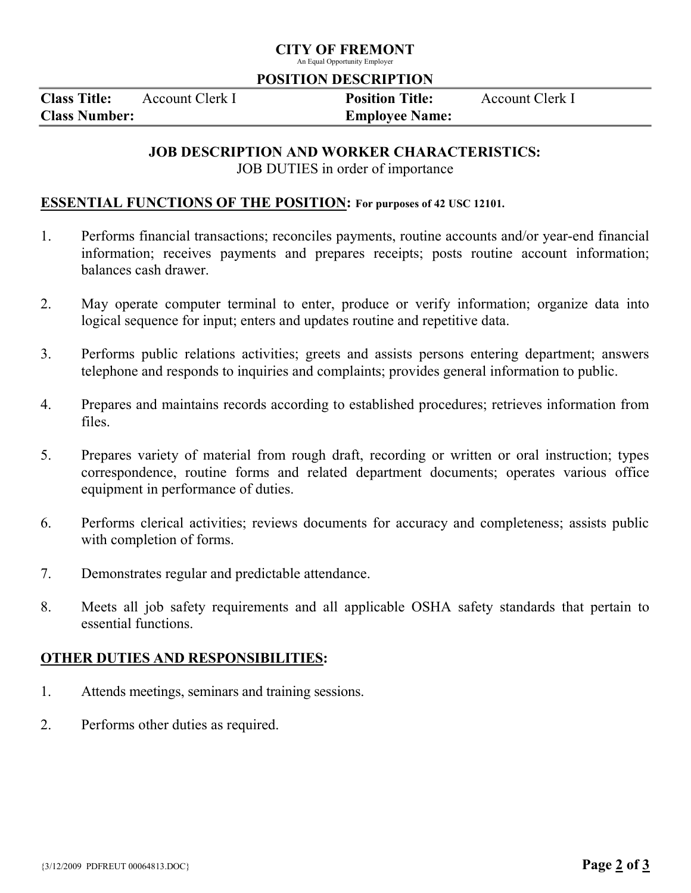# CITY OF FREMONT

An Equal Opportunity Employer

### POSITION DESCRIPTION

Class Title: Account Clerk I Position Title: Account Clerk I Class Number: Employee Name:

# JOB DESCRIPTION AND WORKER CHARACTERISTICS:

JOB DUTIES in order of importance

## ESSENTIAL FUNCTIONS OF THE POSITION: For purposes of 42 USC 12101.

- 1. Performs financial transactions; reconciles payments, routine accounts and/or year-end financial information; receives payments and prepares receipts; posts routine account information; balances cash drawer.
- 2. May operate computer terminal to enter, produce or verify information; organize data into logical sequence for input; enters and updates routine and repetitive data.
- 3. Performs public relations activities; greets and assists persons entering department; answers telephone and responds to inquiries and complaints; provides general information to public.
- 4. Prepares and maintains records according to established procedures; retrieves information from files.
- 5. Prepares variety of material from rough draft, recording or written or oral instruction; types correspondence, routine forms and related department documents; operates various office equipment in performance of duties.
- 6. Performs clerical activities; reviews documents for accuracy and completeness; assists public with completion of forms.
- 7. Demonstrates regular and predictable attendance.
- 8. Meets all job safety requirements and all applicable OSHA safety standards that pertain to essential functions.

# OTHER DUTIES AND RESPONSIBILITIES:

- 1. Attends meetings, seminars and training sessions.
- 2. Performs other duties as required.